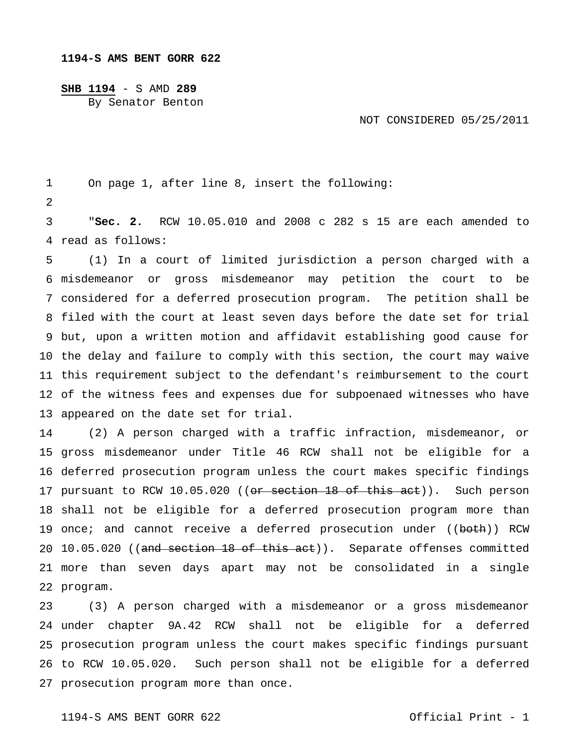## **1194-S AMS BENT GORR 622**

## **SHB 1194** - S AMD **289**

By Senator Benton

## NOT CONSIDERED 05/25/2011

 On page 1, after line 8, insert the following:

 read as follows: "**Sec. 2.** RCW 10.05.010 and 2008 c 282 s 15 are each amended to

 misdemeanor or gross misdemeanor may petition the court to be considered for a deferred prosecution program. The petition shall be filed with the court at least seven days before the date set for trial but, upon a written motion and affidavit establishing good cause for the delay and failure to comply with this section, the court may waive this requirement subject to the defendant's reimbursement to the court of the witness fees and expenses due for subpoenaed witnesses who have appeared on the date set for trial. (1) In a court of limited jurisdiction a person charged with a

 gross misdemeanor under Title 46 RCW shall not be eligible for a deferred prosecution program unless the court makes specific findings 17 pursuant to RCW 10.05.020 ((<del>or section 18 of this act</del>)). Such person shall not be eligible for a deferred prosecution program more than 19 once; and cannot receive a deferred prosecution under ((<del>both</del>)) RCW 20 10.05.020 ((and section 18 of this act)). Separate offenses committed more than seven days apart may not be consolidated in a single program. (2) A person charged with a traffic infraction, misdemeanor, or

 under chapter 9A.42 RCW shall not be eligible for a deferred prosecution program unless the court makes specific findings pursuant to RCW 10.05.020. Such person shall not be eligible for a deferred prosecution program more than once. (3) A person charged with a misdemeanor or a gross misdemeanor